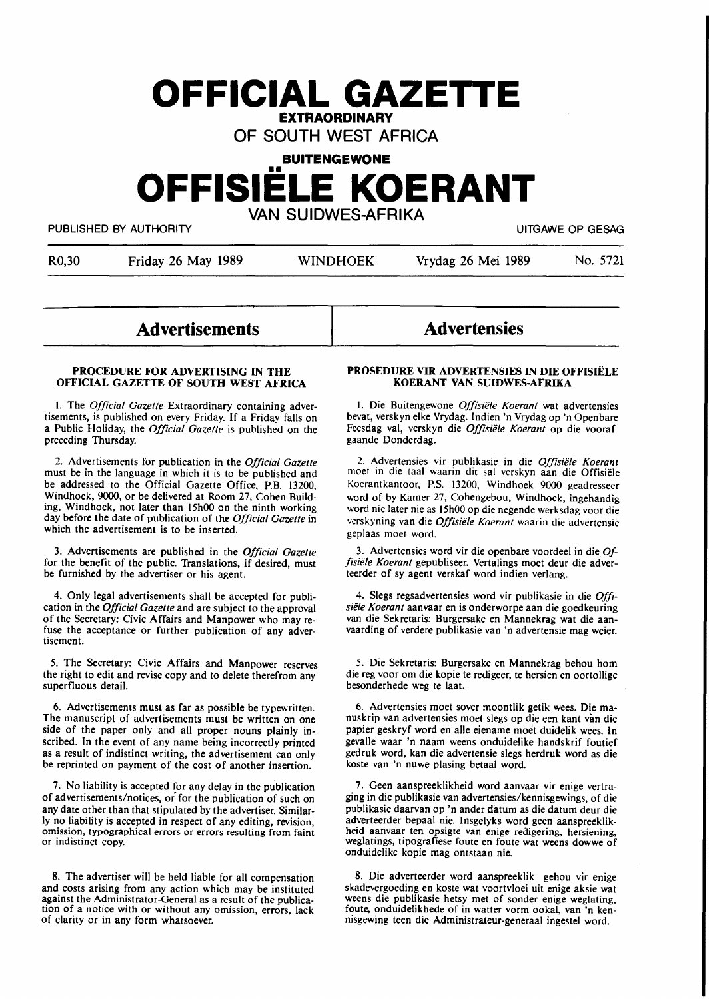## **OFFICIAL GAZETTE EXTRAORDINARY**

OF SOUTH WEST AFRICA

# **BUITENGEWONE**  •• **OFFISIELE KOERANT**  VAN SUIDWES-AFRIKA

PUBLISHED BY AUTHORITY **EXECUTE A SECURE 2018 THE SECURE 2019 THE SECURE 2019 THE SECURE 2019 THE SECURE 2019** 

R0,30 Friday 26 May 1989 WINDHOEK Vrydag 26 Mei 1989 No. 5721

## **Advertisements**

### **PROCEDURE FOR ADVERTISING IN THE OFFICIAL GAZETTE OF SOUTH WEST AFRICA**

I. The *Official Gazette* Extraordinary containing advertisements, is published on every Friday. If a Friday falls on a Public Holiday, the *Official Gazette* is published on the preceding Thursday.

2. Advertisements for publication in the *Official Gazette*  must be in the language in which it is to be published and be addressed to the Official Gazette Office, P.B. 13200, Windhoek, 9000, or be delivered at Room 27, Cohen Building, Windhoek, not later than 15h00 on the ninth working day before the date of publication of the *Official Gazette* in which the advertisement is to be inserted.

3. Advertisements are published in the *Official Gazette*  for the benefit of the public. Translations, if desired, must be furnished by the advertiser or his agent.

4. Only legal advertisements shall be accepted for publication in the *Official Gazette* and are subject to the approval of the Secretary: Civic Affairs and Manpower who may refuse the acceptance or further publication of any advertisement.

*5.* The Secretary: Civic Affairs and Manpower reserves the right to edit and revise copy and to delete therefrom any superfluous detail.

6. Advertisements must as far as possible be typewritten. The manuscript of advertisements must be written on one side of the paper only and all proper nouns plainly inscribed. In the event of any name being incorrectly printed as a result of indistinct writing, the advertisement can only be reprinted on payment of the cost of another insertion.

7. No liability **is** accepted for **any** delay in the publication of advertisements/notices, or for the publication of such on any date other than that stipulated by the advertiser. Similarly no liability is accepted in respect of any editing, revision, omission, typographical errors or errors resulting from faint or indistinct copy.

8. The advertiser will be held liable for all compensation and costs arising from any action which may be instituted against the Administrator-General as a result of the publication of a notice **with** or without **any** omission, **errors,** lack **of** clarity or in **any** form whatsoever.

## **Advertensies**

#### **PROSEDURE VIR ADVERTENSIES IN DIE OFFISIELE KOERANT VAN SUIDWES-AFRIKA**

I. Die Buitengewone *Offisiele Koerant* wat advertensies bevat, verskyn elke Vrydag. Indien 'n Vrydag op 'n Openbare Feesdag val, verskyn die *Offisiele Koerant* op die voorafgaande Donderdag.

2. Advertensies vir publikasie in die *Offisiele Koerant*  moet in die taal waarin dit sal verskyn aan die Offisiele Koerantkantoor, P.S. 13200, Windhoek 9000 geadresseer word of by Kamer 27, Cohengebou, Windhoek, ingehandig word nie later nie as 15h00 op die negende werksdag voor die verskyning van die *Offisiele Koerant* waarin die advertensie geplaas moet word.

3. Advertensies word vir die openbare voordeel in die\_ *0/ fisiele Koerant* gepubliseer. Vertalings moet deur die adverteerder of sy agent verskaf word indien verlang.

4. Slegs regsadvertensies word vir publikasie in die *Offisiele Koerant* aanvaar en is onderworpe aan die goedkeuring van die Sekretaris: Burgersake en Mannekrag wat die aanvaarding of verdere publikasie van 'n advertensie mag weier.

*5.* Die Sekretaris: Burgersake en Mannekrag behou horn die reg voor om die kopie te redigeer, te hersien en oortollige besonderhede weg te laat.

6. Advertensies moet sover moontlik getik wees. Die manuskrip van advertensies moet slegs op die een kant van die papier geskryf word en alle eiename moet duidelik wees. In gevalle waar 'n naam weens onduidelike handskrif foutief gedruk word, kan die advertensie slegs herdruk word as die koste van 'n nuwe plasing betaal word.

7. Geen aanspreeklikheid word aanvaar vir enige vertraging in die publikasie van advertensies/kennisgewings, of die publikasie daarvan op 'n ander datum as die datum deur die adverteerder bepaal nie. Insgelyks word geen aanspreeklikheid aanvaar ten opsigte van enige redigering, hersiening, weglatings, tipografiese foute en foute wat weens dowwe of onduidelike **kopie** mag ontstaan **nie.** 

8. Die adverteerder word aanspreeklik gehou vir enige skadevergoeding en koste wat voortvloei uit enige aksie wat weens die publikasie hetsy met of sonder enige weglating, foute, onduidelikhede of in watter vorm ookal, van 'n kennisgewing teen **die** Administrateur-generaal **ingestel** word.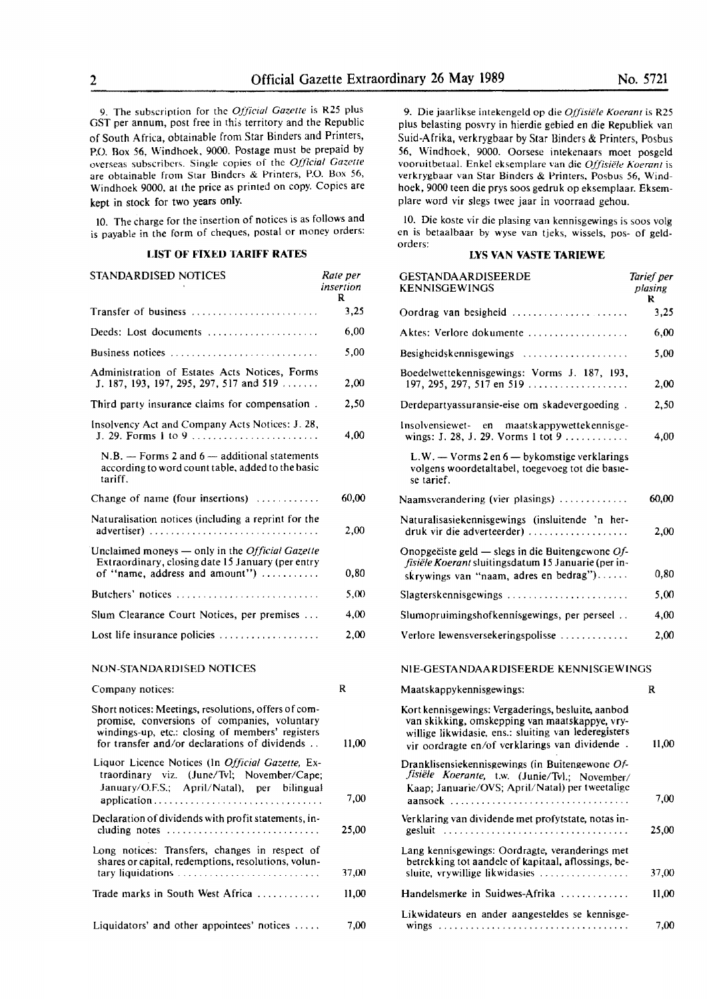9. The subscription for the *Official Gazette* is R25 plus GST per annum, post free in this territory and the Republic of South Africa, obtainable from Star Binders and Printers, P.O. Box 56, Windhoek, 9000. Postage must be prepaid by overseas subscribers. Single copies of the *Official Gazette*  are obtainable from Star Binders & Printers, P.O. Box 56, Windhoek 9000, at the price as printed on copy. Copies are kept in stock for two years only.

10. The charge for the insertion of notices is as follows and is payable in the form of cheques, postal or money orders:

## **LIST OF FIXED TARIFF RATES**

| STANDARDISED NOTICES                                                                                                                                                                                      | Rate per<br>insertion<br>R |
|-----------------------------------------------------------------------------------------------------------------------------------------------------------------------------------------------------------|----------------------------|
| Transfer of business                                                                                                                                                                                      | 3,25                       |
| Deeds: Lost documents                                                                                                                                                                                     | 6,00                       |
| Business notices                                                                                                                                                                                          | 5.00                       |
| Administration of Estates Acts Notices, Forms<br>J. 187, 193, 197, 295, 297, 517 and 519 $\ldots$ .                                                                                                       | 2,00                       |
| Third party insurance claims for compensation.                                                                                                                                                            | 2,50                       |
| Insolvency Act and Company Acts Notices: J. 28,<br>J. 29. Forms 1 to 9                                                                                                                                    | 4,00                       |
| $N.B.$ — Forms 2 and 6 — additional statements<br>according to word count table, added to the basic<br>tariff.                                                                                            |                            |
| Change of name (four insertions) $\dots\dots\dots\dots$                                                                                                                                                   | 60,00                      |
| Naturalisation notices (including a reprint for the<br>$advertiser)$                                                                                                                                      | 2,00                       |
| Unclaimed moneys — only in the <i>Official Gazette</i><br>Extraordinary, closing date 15 January (per entry<br>of "name, address and amount")                                                             | 0,80                       |
| Butchers' notices                                                                                                                                                                                         | 5,00                       |
| Slum Clearance Court Notices, per premises                                                                                                                                                                | 4,00                       |
| Lost life insurance policies $\ldots, \ldots, \ldots, \ldots$                                                                                                                                             | 2,00                       |
| NON-STANDARDISED NOTICES                                                                                                                                                                                  |                            |
| Company notices:                                                                                                                                                                                          | R                          |
| Short notices: Meetings, resolutions, offers of com-<br>promise, conversions of companies, voluntary<br>windings-up, etc.: closing of members' registers<br>for transfer and/or declarations of dividends | 11,00                      |
| Liquor Licence Notices (In Official Gazette, Ex-<br>traordinary viz. (June/Tvl; November/Cape;<br>January/O.F.S.; April/Natal), per bilingual<br>application                                              | 7.00                       |
| Declaration of dividends with profit statements, in-                                                                                                                                                      | 25,00                      |
| Long notices: Transfers, changes in respect of<br>shares or capital, redemptions, resolutions, volun-<br>tary liquidations                                                                                | 37,00                      |

Liquidators' and other appointees' notices  $\dots$  7,00

Trade marks in South West Africa . . . . . . . . . . . . 11,00

9. Die jaarlikse intekengeld op die *Offisiele Koerant* is R25 plus belasting posvry in hierdie gebied en die Republiek van Suid-Afrika, verkrygbaar by Star Binders & Printers, Posbus **56,** Windhoek, 9000. Oorsese intekenaars moet posgeld vooruitbetaal. Enke! eksemplare van die *Offisiiile Koeranl* is verkrygbaar van Star Binders & Printers, Posbus 56, Windhoek, 9000 teen die prys soos gedruk op eksemplaar. Ekscmplare word vir slegs twee jaar in voorraad gehou.

IO. Die koste vir die plasing van kennisgewings is soos volg en is betaalbaar by wyse van tjeks, wissels, pos- of geldorders:

## **LYS VAN VASTE TARIEWE**

| GESTANDAARDISEERDE<br><b>KENNISGEWINGS</b>                                                                                                                                                                     | Tarief per<br>plasing<br>R |
|----------------------------------------------------------------------------------------------------------------------------------------------------------------------------------------------------------------|----------------------------|
| Oordrag van besigheid                                                                                                                                                                                          | 3,25                       |
| Aktes: Verlore dokumente                                                                                                                                                                                       | 6,00                       |
| Besigheidskennisgewings                                                                                                                                                                                        | 5,00                       |
| Boedelwettekennisgewings: Vorms J. 187, 193,<br>197, 295, 297, 517 en 519                                                                                                                                      | 2,00                       |
| Derdepartyassuransie-eise om skadevergoeding.                                                                                                                                                                  | 2,50                       |
| Insolvensiewet- en<br>maatskappywettekennisge-<br>wings: J. 28, J. 29. Vorms 1 tot 9                                                                                                                           | 4,00                       |
| L.W. - Vorms 2 en 6 - bykomstige verklarings<br>volgens woordetaltabel, toegevoeg tot die basie-<br>se tarief.                                                                                                 |                            |
| Naamsverandering (vier plasings) $\dots \dots \dots$                                                                                                                                                           | 60,00                      |
| Naturalisasiekennisgewings (insluitende 'n her-<br>druk vir die adverteerder)                                                                                                                                  | 2,00                       |
| Onopgeëiste geld — slegs in die Buitengewone Of-<br>fisiële Koerant sluitingsdatum 15 Januarie (per in-<br>skrywings van "naam, adres en bedrag")                                                              | 0,80                       |
| $Slagterskenn isgewings$                                                                                                                                                                                       | 5,00                       |
| Slumopruimingshofkennisgewings, per perseel                                                                                                                                                                    | 4,00                       |
| Verlore lewensversekeringspolisse                                                                                                                                                                              | 2,00                       |
| NIE-GESTANDAARDISEERDE KENNISGEWINGS                                                                                                                                                                           |                            |
| Maatskappykennisgewings:                                                                                                                                                                                       | R                          |
| Kort kennisgewings: Vergaderings, besluite, aanbod<br>van skikking, omskepping van maatskappye, vry-<br>willige likwidasie, ens.: sluiting van lederegisters<br>vir oordragte en/of verklarings van dividende. | 11,00                      |
| Dranklisensiekennisgewings (in Buitengewone Of-<br>fisiële Koerante, t.w. (Junie/Tvl.; November/<br>Kaap; Januarie/OVS; April/Natal) per tweetalige<br>aansoek                                                 | 7,00                       |
| Verklaring van dividende met profytstate, notas in-<br>gesluit                                                                                                                                                 | 25,00                      |
| Lang kennisgewings: Oordragte, veranderings met<br>betrekking tot aandele of kapitaal, aflossings, be-<br>sluite, vrywillige likwidasies                                                                       | 37,00                      |
| Handelsmerke in Suidwes-Afrika                                                                                                                                                                                 | 11,00                      |
| Likwidateurs en ander aangesteldes se kennisge-                                                                                                                                                                | 7,00                       |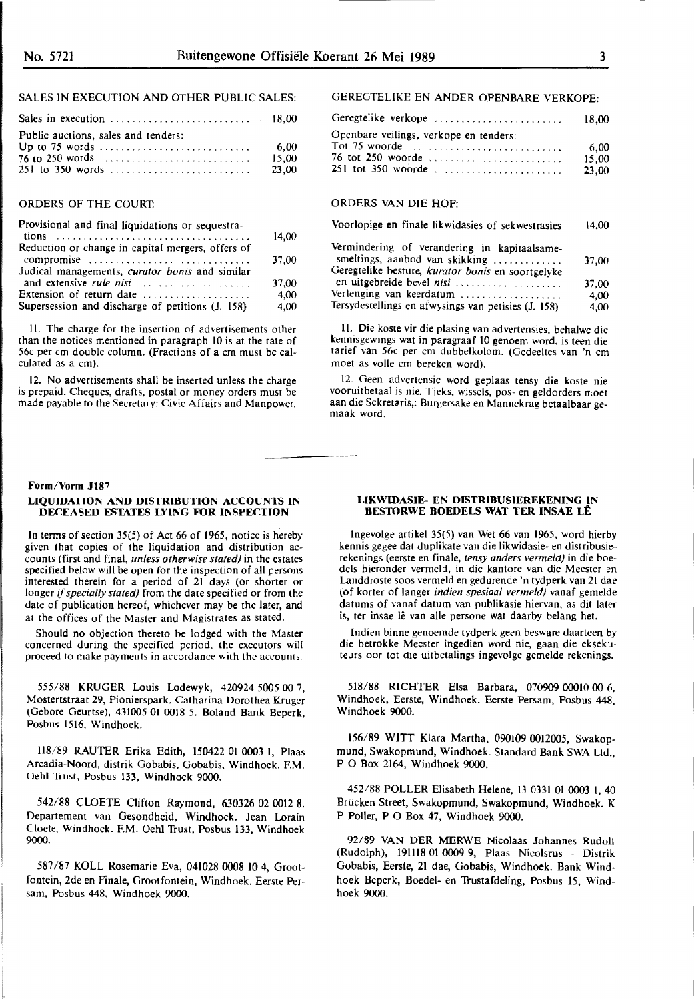## SALES IN EXECUTION AND OTHER PUBLIC SALES:

| Public auctions, sales and tenders:              | 6.00  |
|--------------------------------------------------|-------|
| $76$ to 250 words $\ldots$ , $\ldots$ , $\ldots$ | 15,00 |
|                                                  | 23.00 |

## ORDERS OF THE COURT:

| Provisional and final liquidations or sequestra-  |       |
|---------------------------------------------------|-------|
|                                                   | 14,00 |
| Reduction or change in capital mergers, offers of |       |
| compromise                                        | 37.00 |
| Judical managements, curator bonis and similar    |       |
| and extensive rule nisi                           | 37.00 |
| Extension of return date                          | 4.00  |
| Supersession and discharge of petitions (J. 158)  | 4.00  |

11. The charge for the insertion of advertisements other than the notices mentioned in paragraph 10 is at the rate of 56c per cm double column. (Fractions of a cm must be calculated as a cm).

12. No advertisements shall be inserted unless the charge is prepaid. Cheques, drafts, postal or money orders must be made payable to the Secretary: Civic Affairs and Manpower.

## **Form /Vorm Jl87**

#### **LIQUIDATION AND DISTRIBUTION ACCOUNTS IN DECEASED ESTATES LYING FOR INSPECTION**

In terms of section 35(5) of Act 66 of 1965, notice is hereby given that copies of the liquidation and distribution accounts (first and final, *unless otherwise stated)* in the estates specified below will be open for the inspection of all persons interested therein for a period of 21 days (or shorter or longer if *specially stated)* from the date specified or from the date of publication hereof, whichever may be the later, and at the offices of the Master and Magistrates as stated.

Should no objection thereto be lodged with the Master concerned during the specified period, the executors will proceed to make payments in accordance with the accounts.

555/88 KRUGER Louis Lodewyk, 420924 5005 00 7, Mostertstraat 29, Pionierspark. Catharina Dorothea Kruger (Gebore Geurtse), 431005 01 0018 *5.* Boland Bank Beperk, Posbus 1516, Windhoek.

118/89 RAUTER Erika Edith, 150422 01 0003 I, Plaas Arcadia-Noord, distrik Gobabis, Gobabis, Windhoek. F.M. Oehl Trust, Posbus 133, Windhoek 9000.

542/88 CLOETE Clifton Raymond, 630326 02 0012 8. Departement van Gesondheid, Windhoek. Jean Lorain Cloete, Windhoek. F.M. Oehl Trust, Posbus 133, Windhoek **9000.** 

587 /87 KOLL Rosemarie Eva, 041028 0008 IO 4, Grootfontein, 2de en Finale, Grootfontein, Windhoek. Eerste Persam, Posbus 448, Windhoek 9000.

## GEREGTELIKE EN ANDER OPENBARE VERKOPE:

| Geregtelike verkope                    | 18.00                  |
|----------------------------------------|------------------------|
| Openbare veilings, verkope en tenders: |                        |
| 76 tot 250 woorde                      | 6.00<br>15.00<br>23.00 |

#### ORDERS VAN DIE HOF:

#### Voorlopige **en** finale likwidasies of sekwestrasies 14,00

| Vermindering of verandering in kapitaalsame-        |       |
|-----------------------------------------------------|-------|
| smeltings, aanbod van skikking                      | 37.00 |
| Geregtelike besture, kurator bonis en soortgelyke   |       |
| en uitgebreide bevel nisi                           | 37.00 |
| Verlenging van keerdatum                            | 4.00  |
| Tersydestellings en afwysings van petisies (J. 158) | 4.00  |

II. Die koste vir die plasing van advertensjes, behalwe die kennisgewings wat in paragraaf 10 genoem word. is teen die tarief van 56c per cm dubbelkolom. (Gedeeltes van 'n cm moet as voile cm bereken word).

12. Geen advertensie word geplaas tensy die koste nie vooruitbetaal is nie. Tjeks, wissels, pos- en geldorders moet aan die Sekretaris,: Burgersake en Mannekrag betaalbaar gemaak word.

#### **LIKWIDASIE- EN DISTRIBUSIEREKENING IN BESTORWE BOEDELS WAT TER INSAE LÊ**

lngevolge artikel 35(5) van Wet 66 van 1965, word hierby kennis gegee dat duplikate van die likwidasie- en distribusierekenings (eerste en finale, *tensy anders verme/d)* in die boedels hieronder vermeld, in die kantore van die Meester en Landdroste soos vermeld en gedurende 'n tydperk van 21 dae (of korter of langer *indien spesiaal vermeld)* vanaf gemelde datums of vanaf datum van publikasie hiervan, as dit later is, ter insae lê van alle persone wat daarby belang het.

lndien binne genoemde tydperk geen besware daarteen by die betrokke Meester ingedien word nie, gaan die eksekuteurs oor tot die uitbetalings ingevolge gemelde rekenings.

518/88 RICHTER Elsa Barbara, 070909 OOOIO 00 6, Windhoek, Eerste, Windhoek. Eerste Persam, Posbus 448, Windhoek 9000.

156/89 WITT Klara Martha, 090109 0012005, Swakopmund, Swakopmund, Windhoek. Standard Bank SWA Ltd., P O Box 2164, Windhoek **9000.** 

452/88 POLLER Elisabeth Helene, 13 0331 01 0003 I, 40 Brucken Street, Swakopmund, Swakopmund, Windhoek. K P Poller, P O Box 47, Windhoek 9000.

92/89 VAN DER MERWE Nicolaas Johannes Rudolf (Rudolph), 191118 01 0009 9, Plaas Nicolsrus - Distrik Gobabis, Eerste, 21 dae, Gobabis, Windhoek. Bank Windhoek Beperk, Boedel- en Trustafdeling, Posbus 15, Windhoek 9000.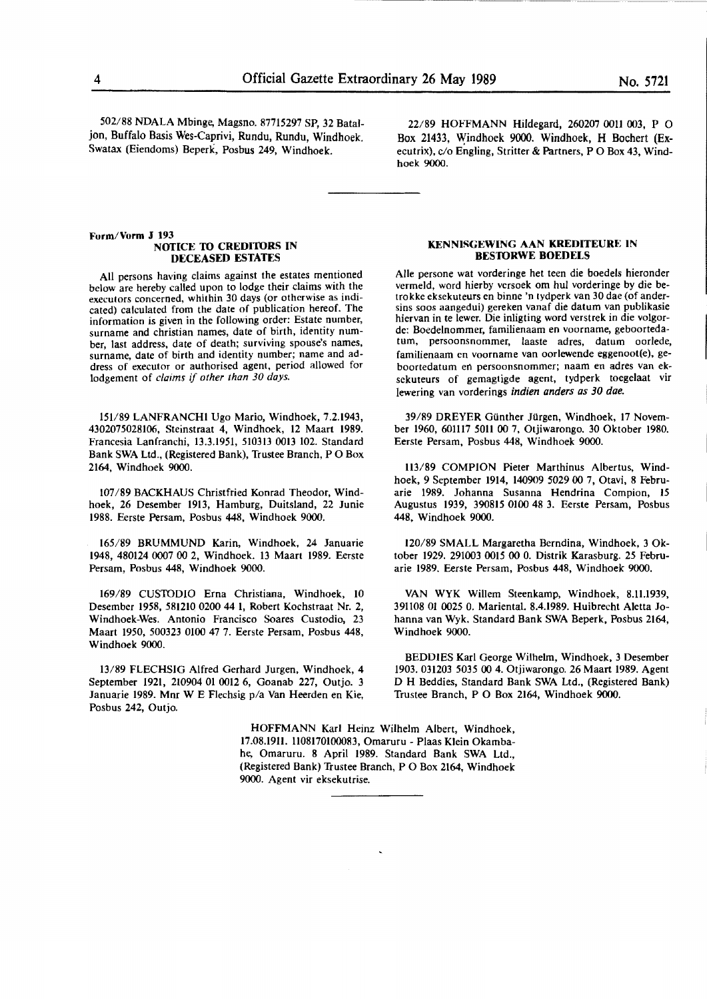502/88 NDALA Mbinge, Magsno. 87715297 SP, 32 Bataljon, Buffalo Basis Wes-Caprivi, Rundu, Rundu, Windhoek. Swatax (Eiendoms) Beperk, Posbus 249, Windhoek.

22/89 HOFFMANN **Hildegard,** 260207 OOU 003, P 0 Box 21433, Windhoek 9000. Windhoek, H Bochert (Executrix), c/o Engling, Stritter & Partners, P O Box 43, Windhoek 9000.

#### **Form/Vorm J 193 NOTICE TO CREDITORS IN DECEASED ESTATES**

All persons having claims against the estates mentioned below are hereby called upon to lodge their claims with the executors concerned, whithin 30 days (or otherwise as indicated) calculated from the date of publication hereof. The information is given in the following order: Estate number, surname and christian names, date of birth, identity number, last address, date of death; surviving spouse's names, surname, date of birth and identity number; name and address of executor or authorised agent, period allowed for lodgement of *claims if other than 30 days.* 

151/89 LANFRANCHI Ugo Mario, Windhoek, 7.2.1943, 4302075028106, Steinstraat 4, Windhoek, 12 Maart 1989. Francesia Lanfranchi, 13.3.1951, 510313 0013 102. Standard Bank SWA Ltd., (Registered Bank), Trustee Branch, PO Box 2164, Windhoek 9000.

107 /89 BACKHAUS Christfried Konrad Theodor, Windhoek, 26 Desember 1913, Hamburg, Duitsland, 22 Junie 1988. Eerste Persam, Posbus 448, Windhoek **9000.** 

165/89 BRUMMUND Karin, Windhoek, 24 Januarie 1948, 480124 0007 00 2, Windhoek. 13 Maart 1989. Eerste Persam, Posbus 448, Windhoek 9000.

169/89 CUSIDDIO Erna Christiana, Windhoek, 10 Desember 1958, 581210 0200 44 1, Robert Kochstraat Nr. 2, Windhoek-Wes. Antonio Francisco Soares Custodio, 23 Maart 1950, 500323 0100 47 7. Eerste Persam, Posbus 448, Windhoek 9000.

13/89 FLECHSIG Alfred Gerhard Jurgen, Windhoek, 4 September 1921, 210904 01 0012 6, Goanab 227, Outjo. 3 Januarie 1989. Mnr W E Flechsig p/a Van Heerden en Kie, Posbus 242, Outjo.

#### **KENNISGEWING AAN KREDITEURE IN BES'IORWE BOEDELS**

Aile persone wat vorderinge het teen die boedels hieronder vermeld, word hierby versoek om hul vorderinge by die betrokke eksekuteurs en binne 'n tydperk van 30 dae (of andersins soos aangedui) gereken vanaf die datum van publikasie hiervan in te lewer. Die inligting word verstrek in die volgorde: Boedelnommer, familienaam en voorname, geboortedatum, persoonsnommer, laaste adres, datum oorlede, familienaam en voorname van oorlewende eggenoot(e), geboortedatum en persoonsnommer; naam en adres van eksekuteurs of gemagtigde agent, tydperk toegelaat vir lewering van vorderings indien anders as 30 dae.

39/89 DREYER Gunther Jurgen, Windhoek, 17 November 1960, 601117 5011 00 7, Otjiwarongo. 30 Oktober 1980. Eerste Persam, Posbus 448, Windhoek 9000.

113/89 COMPION Pieter Marthinus Albertus, Windhoek, 9 September 1914, 140909 5029 **00** 7, Otavi, 8 Februarie 1989. Johanna Susanna Hendrina Compion, **15**  Augustus 1939, 390815 0100 48 3. Eerste Persarn, Posbus 448, Windhoek 9000.

120/89 SMALL Margaretha Berndina, Windhoek, 3 Oktober 1929. 291003 0015 00 0. Distrik Karasburg. *25* Februarie 1989. Eerste Persam, Posbus **448,** Windhoek 9000.

VAN WYK Willem Steenkamp, Windhoek, 8.11.1939, 391108 01 *0025* 0. Mariental. 8.4.1989. Huibrecht Aletta Johanna van Wyk. Standard Bank SWA Beperk, Posbus 2164, Windhoek 9000.

BEDDIES **Karl** George Wilhelm, Windhoek, 3 Desember 1903. 031203 *5035* 00 4. Otjiwarongo. 26 Maart 1989. Agent D **H** Beddies, Standard Bank SWA Ltd., (Registered Bank) Trustee Branch, P O **Box 2164,** Windhoek **9000.** 

HOFFMANN Karl Heinz Wilhelm Albert, Windhoek, 17.08.1911. 1108170100083, Omaruru - Plaas Klein Okambahe, Omaruru. 8 April 1989. Standard Bank SWA Ltd., (Registered Bank) Trustee Branch, P O Box 2164, Windhoek 9000. Agent vir eksekutrise.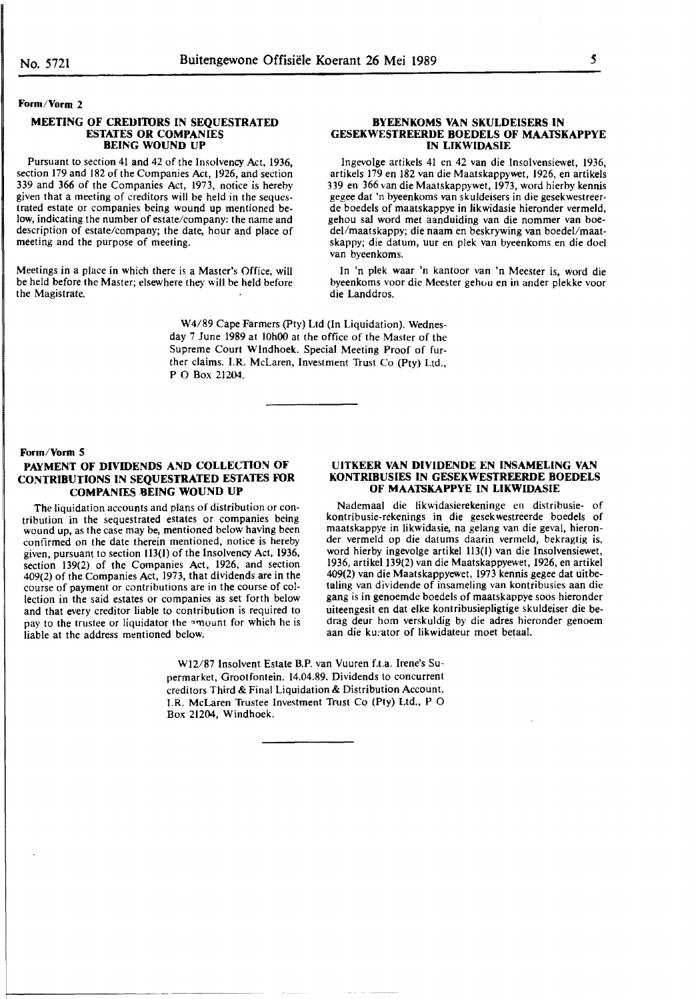## **Form/Vorm 2**

#### **MEETING OF CREDIIDRS IN SEQUESTRATED ESTATES OR COMPANIES BEING WOUND UP**

Pursuant to section 41 and 42 of the Insolvency Act, 1936, section 179 and 182 of the Companies Act, 1926, and section 339 and 366 of the Companies Act, 1973, notice is hereby given that a meeting of creditors will be held in the sequestrated estate or companies being wound up mentioned below, indicating the number of estate/company: the name and description of estate/company; the date, hour and place of meeting and the purpose of meeting.

Meetings in a place in which there is a Master's Office, will be held before the Master; elsewhere they will be held before the Magistrate.

#### **BYEENKOMS VAN SKULDEISERS IN GESEKWESTREERDE BOEDELS OF MAATSKAPPYE IN LIKWIDASIE**

lngevolge artikels 41 en 42 van die lnsolvensiewet, 1936, artikels 179 en 182 van die Maatskappywet, 1926, en artikels 339 en 366 van die Maatskappywet, 1973, word hierby kennis gegee dat 'n byeenkoms van skuldeisers in die gesekwestreerde boedels of maatskappye in likwidasie hieronder vermeld, gehou sal word met aanduiding van die nommer van boedel/maatskappy; die naam en beskrywing van boedel/maatskappy; die datum, uur en plek van byeenkoms en die doel van byeenkoms.

In 'n plek waar 'n kantoor van 'n Meester is, word die byeenkoms voor die Meester gehou en in ander plekke voor die Landdros.

W4/89 Cape Farmers (Pty) Ltd (In Liquidation). Wednesday 7 June 1989 at 10h00 at the office of the Master of the Supreme Court Windhoek. Special Meeting Proof of further claims. I.R. McLaren, Investment Trust Co (Pty) Ltd., PO Box 21204.

#### **Form/Vorm 5**

## **PAYMENT OF DIVIDENDS AND COLLECTION OF CONTRIBUTIONS IN SEQUESTRATED ESTATES FOR COMPANIES -9EING WOUND UP**

The liquidation accounts and plans of distribution or contribution in the sequestrated estates or companies being wound up, as the case may be, mentioned below having been confirmed on the date therein mentioned, notice is hereby given, pursuant to section 113(1) of the Insolvency Act, 1936, section 139(2) of the Companies Act, 1926, **and** section course of payment or contributions are in the course of collection in the said estates or companies as set forth below and that every creditor liable to contribution is required to pay to the trustee or liquidator the amount for which he is liable at the address mentioned below.

#### **UITKEER VAN DIVIDENDE EN INSAMELING VAN KONTRIBUSIES IN GESEKWESTREERDE BOEDELS OF MAATSKAPPYE IN LIKWIDASIE**

Nademaal die likwidasierekeninge en distribusie- of kontribusie-rekenings in die gesekwestreerde boedels of maatskappye in likwidasie, na gelang van die geval, hieronder vermeld op die datums daarin vermeld, bekragtig is, word hierby ingevolge artikel 113(1) van die lnsolvensiewet, 1936, artikel 139(2) van die Maatskappyewet, 1926, en artikel 409(2) van die Maatskappyewet, 1973 kennis **gegee** dat uitbetaling van dividende of insameling van kontribusies aan die gang is in genoemde boedels of maatskappye soos hieronder uiteengesit en dat elke kontribusiepligtige skuldeiser die bedrag deur hom verskuldig by die adres hieronder genoem aan die kurator of likwidateur moet betaal.

Wl2/87 Insolvent Estate B.P. van Vuuren f.t.a. Irene's Supermarket, Grootfontein. 14.04.89. Dividends to concurrent creditors Third & Final Liquidation & Distribution Account. I.R. McLaren Trustee Investment Trust Co (Pty) Ltd., P O Box 21204, Windhoek.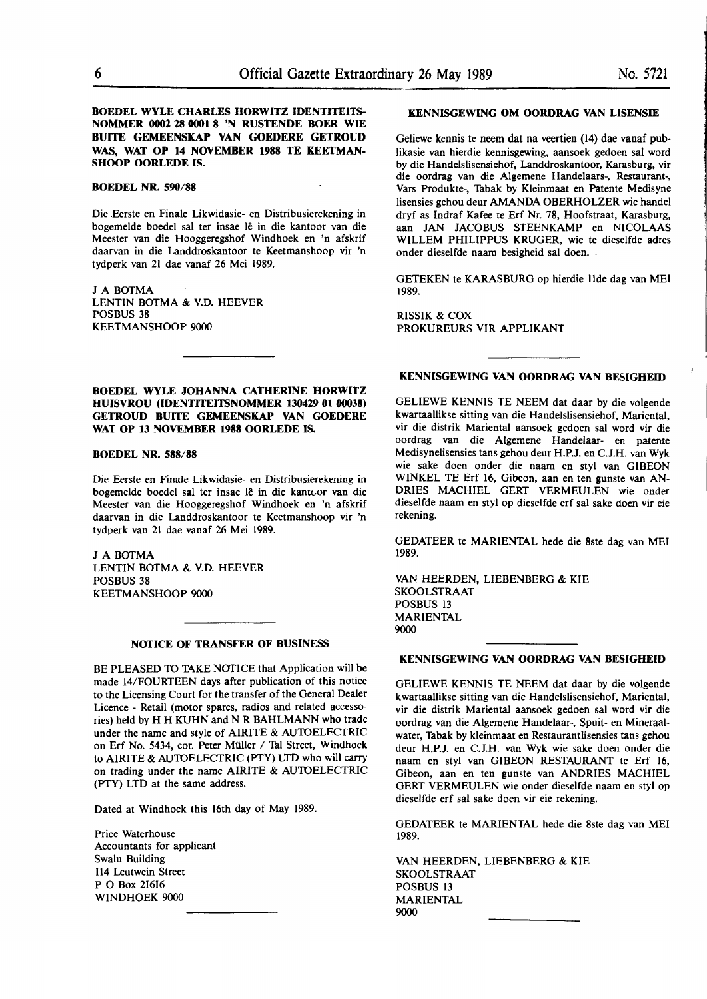## **ROEDEL WYLE CHARLES HORWITZ IDENTITEITS-NOMMER 0002 28 0001 8 'N RUSTENDE BOER WIE BUITE GEMEENSKAP VAN GOEDERE GETROUD WAS, WAT OP 14 NOVEMBER 1988 TE KEETMAN-SHOOP OORLEDE IS.**

#### **BOEDEL NR. 590/88**

Die .Eerste en Finale Likwidasie- en Distribusierekening in bogemelde boedel sal ter insae le in die kantoor van die Meester van die Hooggeregshof Windhoek en 'n afskrif daarvan in die Landdroskantoor te Keetmanshoop vir 'n tydperk van 21 dae vanaf **26 Mei** 1989.

J A BOTMA LENTIN BOTMA & V.D. HEEVER POSBUS 38 KEETMANSHOOP 9000

**ROEDEL WYLE JOHANNA CATHERINE HORWITZ HUISVROU (IDENTITEITSNOMMER 130429 01 00038) GETROUD BUITE GEMEENSKAP VAN GOEDERE WAT OP 13 NOVEMBER 1988 OORLEDE IS.** 

#### **ROEDEL NR. 588/88**

Die Eerste en Finale Likwidasie- en Distribusierekening in bogemelde boedel sal ter insae lê in die kantoor van die Meester van die Hooggeregshof Windhoek en 'n afskrif daarvan in die Landdroskantoor te Keetmanshoop vir 'n tydperk van 21 dae vanaf 26 Mei 1989.

J A BOTMA LENTIN BOfMA & V.D. HEEVER POSBUS 38 KEETMANSHOOP 9000

#### **NOflCE OF TRANSFER OF BUSINESS**

BE PLEASED TO TAKE NOTICE that Application will be made 14/FOURTEEN days after publication of this notice to the Licensing Court for the transfer of the General Dealer Licence - Retail (motor spares, radios and related accessories) held by H H KUHN and **N R BAHLMANN** who trade under the name and style of AIRITE & AUTOELECTRIC on Erf No. 5434, cor. Peter Müller / Tal Street, Windhoek to AIRITE & AUTOELECTRIC (PTY) LTD who will carry on trading under the name AIRITE & AUTOELECTRIC (PTY) LTD at the same address.

Dated at Windhoek this 16th day of May 1989.

Price Waterhouse Accountants for applicant Swalu Building 114 Leutwein Street PO Box 21616 WINDHOEK 9000

## **KENNISGEWING OM OORDRAG VAN LISENSIE**

Geliewe kennis te neem dat na veertien (14) dae vanaf publikasie van hierdie kennisgewing, aansoek gedoen sal word by die Handelslisensiehof, Landdroskantoor, Karasburg, vir die oordrag van die Algemene Handelaars-, Restaurant-, Vars Produkte-, Tabak by Kleinmaat en Patente Medisyne Iisensies gehou deur **AMANDA** OBERHOLZER wie handel dryf as lndraf Kafee te Erf Nr. 78, Hoofstraat, Karasburg, aan JAN JACOBUS STEENKAMP en NICOLAAS WILLEM PHILIPPUS KRUGER, wie te dieselfde adres onder dieselfde naam besigheid sal doen.

GETEKEN te KARASBURG op hierdie Ude dag van MEI 1989.

RISSIK & COX PROKUREURS VIR APPLIKANT

### **KENNISGEWING VAN OORDRAG VAN BESIGHEID**

GELIEWE KENNIS TE NEEM dat daar by die volgende kwartaallikse sitting van die Handelslisensiehof, Mariental, vir die distrik Mariental aansoek gedoen sal word vir die oordrag van die Algemene Handelaar- en patente Medisynelisensies tans gehou deur H.P.J. en C.J.H. van Wyk wie sake doen onder die naam en sty! van GIBEON WINKEL TE Erf 16, Gibeon, aan en ten gunste van AN-DRIES MACHIEL GERI' VERMEULEN wie onder dieselfde naam en styl op dieselfde erf sal sake doen vir eie rekening.

GEDATEER te MARIENTAL hede die 8ste dag van MEI 1989.

VAN HEERDEN, LIEBENBERG & **KIE**  SKOOLSTRAAT POSBUS 13 MARIENTAL 9000

#### **KENNISGEWING VAN OORDRAG VAN BESIGHEID**

GELIEWE KENNIS TE NEEM dat daar by die volgende kwartaallikse sitting van die Handelslisensiehof, Mariental, vir die distrik Mariental aansoek gedoen sal word vir die oordrag van die Algemene Handelaar-, Spuit- en Mineraalwater, Tabak by kleinmaat en Restaurantlisensies tans gehou deur H.P.J. en C.J.H. van Wyk wie sake doen onder die naam en sty! van GIBEON RESTAURANT te Erf 16, Gibeon, aan en ten gunste van ANDRIES MACHIEL GERT VERMEULEN wie onder dieselfde naam en sty! op dieselfde erf sal sake doen vir eie rekening.

GEDATEER te MARIENTAL hede die 8ste dag van MEI 1989.

VAN HEERDEN, LIEBENBERG & KIE SKOOLSTRAAT POSBUS 13 MARIENTAL 9000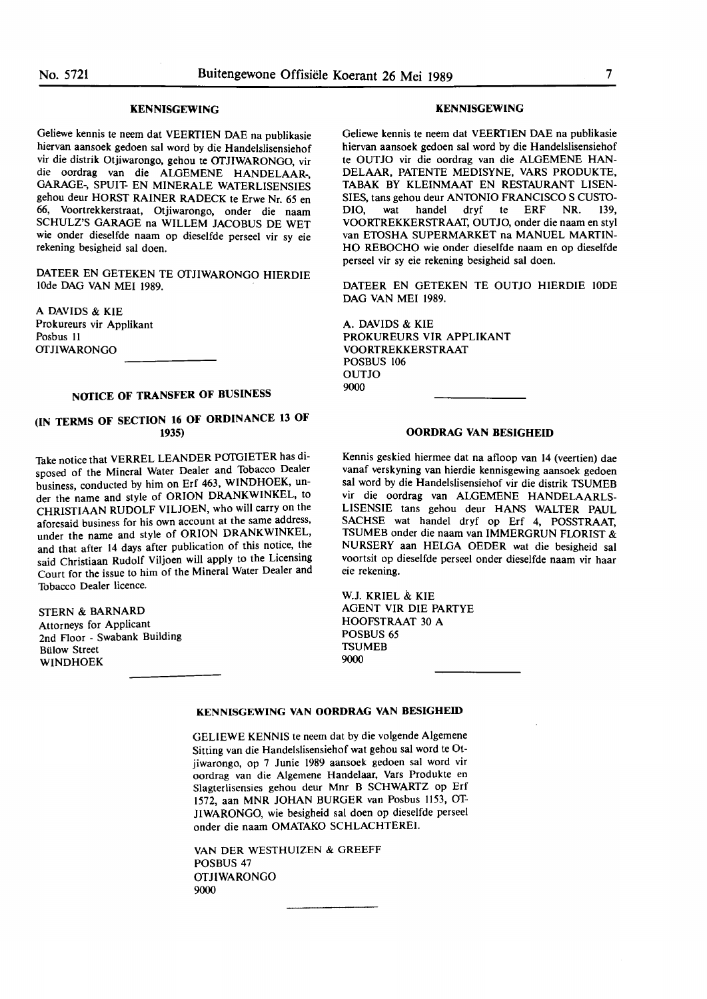## **KENNISGEWING**

Geliewe kennis te neem dat VEERfIEN DAE na publikasie hiervan aansoek gedoen sal word by die Handelslisensiehof vir die distrik Otjiwarongo, gehou te OTJIWARONGO, vir die oordrag van die ALGEMENE HANDELAAR-GARAGE-, SPUIT- EN MINERALE WATERLISENSIES gehou deur HORST RAINER RADECK te Erwe Nr. *65* en 66, Voortrekkerstraat, Otjiwarongo, onder die naam SCHULZ'S GARAGE na WILLEM JACOBUS DE WET wie onder dieselfde naam op dieselfde perseel vir sy eie rekening besigheid sal doen.

DATEER EN GETEKEN TE OTJIWARONGO HIERDIE IOde DAG VAN MEI 1989.

A DAVIDS & **KIE**  Prokureurs vir Applikant Posbus II **OTJIWARONGO** 

## **NOfICE OF TRANSFER OF BUSINESS**

## **(IN TERMS OF SECTION 16 OF ORDINANCE 13 OF 1935)**

Take notice that VERREL LEANDER POTGIETER has disposed of the Mineral Water Dealer and Tobacco Dealer business, conducted by him on Erf 463, WINDHOEK, under the name and style of ORION DRANKWINKEL, to CHRISTIAAN RUDOLF VILJOEN, who will carry on the aforesaid business for his own account at the same address, under the name and style of **ORION DRANKWINKEL,**  and that after 14 days after publication of this notice, the said Christiaan Rudolf Viljoen will apply to the Licensing Court for the issue to him of the Mineral Water Dealer and Tobacco Dealer licence.

**STERN** & **BARNARD**  Attorneys for Applicant 2nd Floor - Swabank Building **Bülow Street WINDHOEK** 

#### **KENNISGEWING**

Geliewe kennis te neem dat VEERfIEN DAE na publikasie hiervan aansoek gedoen sal word by die Handelslisensiehof te OUTJO vir die oordrag van die ALGEMENE HAN-DELAAR, PATENTE MEDISYNE, VARS PRODUKTE, TABAK BY KLEINMAAT EN RESTAURANT LISEN-SIES, tans gehou deur ANTONIO FRANCISCO S CUSTO-DIO, wat handel dryf te ERF NR. 139, VOORfREKKERSTRAAT, OUTJO, onder die naam en styl van ETOSHA SUPERMARKET na MANUEL MARTIN-HO REBOCHO wie onder dieselfde naam en op dieselfde perseel vir sy eie rekening besigheid sal doen.

DATEER EN GETEKEN TE OUTJO HIERDIE IODE DAG VAN MEI 1989.

A. DAVIDS & KIE PROKUREURS VIR APPLIKANT VOORTREKKERSTRAAT POSBUS 106 OUTJO 9000

#### **OORDRAG VAN BESIGHEID**

Kennis geskied hiermee dat na afloop van 14 (veertien) dae vanaf verskyning van hierdie kennisgewing aansoek gedoen sal word by die Handelslisensiehof vir die distrik TSUMEB vir die oordrag van ALGEMENE HANDELAARLS-LISENSIE tans gehou deur HANS WALTER PAUL SACHSE wat handel dryf op Erf 4, POSSTRAAT, TSUMEB onder die naam van IMMERGRUN FLORIST & NURSERY aan HELGA OEDER wat die besigheid sal voortsit op dieselfde perseel onder dieselfde naam vir haar eie rekening.

W.J. KRIEL & KIE AGENT VIR DIE PARTYE HOOFSTRAAT 30 A POSBUS *65*  **TSUMEB** 9000

## **KENNISGEWING VAN OORDRAG VAN BESIGHEID**

GELIEWE KENNIS te neem dat by die volgende Algemene Sitting van die Handelslisensiehof wat gehou sal word te Otjiwarongo, op 7 Junie 1989 aansoek gedoen sal word vir oordrag van die Algemene Handelaar, Vars Produkte en Slagterlisensies gehou deur Mnr 8 SCHWARTZ op Erf 1572, aan MNR JOHAN BURGER van Posbus 1153, OT-JIWARONGO, wie besigheid sal doen op dieselfde perseel onder die naam OMATAKO SCHLACHTEREI.

VAN DER WESTHUIZEN & GREEFF POSBUS 47 OTJIWARONGO 9000